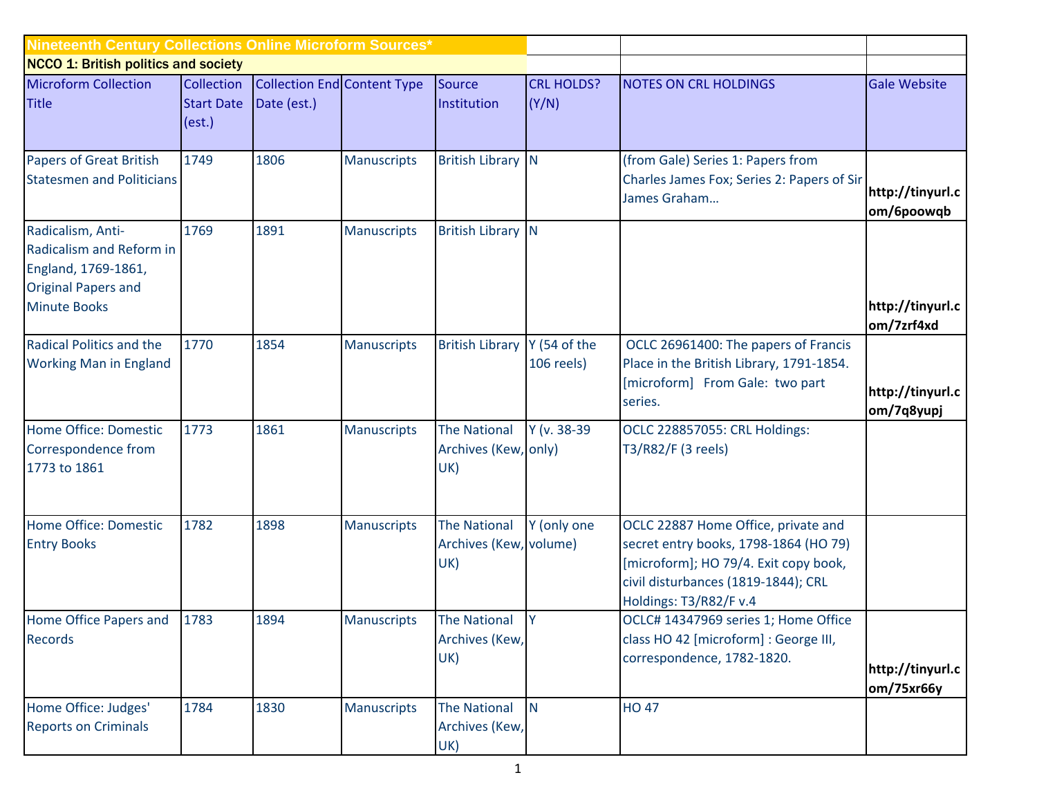| Nineteenth Century Collections Online Microform Sources*                                                                  |                             |                                                              |                    |                                                      |                            |                                                                                                                                                                                        |                                              |  |  |  |
|---------------------------------------------------------------------------------------------------------------------------|-----------------------------|--------------------------------------------------------------|--------------------|------------------------------------------------------|----------------------------|----------------------------------------------------------------------------------------------------------------------------------------------------------------------------------------|----------------------------------------------|--|--|--|
| <b>NCCO 1: British politics and society</b>                                                                               |                             |                                                              |                    |                                                      |                            |                                                                                                                                                                                        |                                              |  |  |  |
| <b>Microform Collection</b><br><b>Title</b>                                                                               | <b>Start Date</b><br>(est.) | <b>Collection</b> Collection End Content Type<br>Date (est.) |                    | Source<br>Institution                                | <b>CRL HOLDS?</b><br>(Y/N) | <b>NOTES ON CRL HOLDINGS</b>                                                                                                                                                           | <b>Gale Website</b>                          |  |  |  |
| <b>Papers of Great British</b><br><b>Statesmen and Politicians</b>                                                        | 1749                        | 1806                                                         | <b>Manuscripts</b> | <b>British Library N</b>                             |                            | (from Gale) Series 1: Papers from<br>Charles James Fox; Series 2: Papers of Sir<br>James Graham                                                                                        | http://tinyurl.c<br>om/6poowqb               |  |  |  |
| Radicalism, Anti-<br>Radicalism and Reform in<br>England, 1769-1861,<br><b>Original Papers and</b><br><b>Minute Books</b> | 1769                        | 1891                                                         | <b>Manuscripts</b> | <b>British Library N</b>                             |                            |                                                                                                                                                                                        | http://tinyurl.c                             |  |  |  |
| Radical Politics and the<br><b>Working Man in England</b>                                                                 | 1770                        | 1854                                                         | <b>Manuscripts</b> | <b>British Library</b>                               | Y (54 of the<br>106 reels) | OCLC 26961400: The papers of Francis<br>Place in the British Library, 1791-1854.<br>[microform] From Gale: two part<br>series.                                                         | om/7zrf4xd<br>http://tinyurl.c<br>om/7q8yupj |  |  |  |
| Home Office: Domestic<br>Correspondence from<br>1773 to 1861                                                              | 1773                        | 1861                                                         | <b>Manuscripts</b> | <b>The National</b><br>Archives (Kew, only)<br>UK)   | Y (v. 38-39                | OCLC 228857055: CRL Holdings:<br>T3/R82/F (3 reels)                                                                                                                                    |                                              |  |  |  |
| Home Office: Domestic<br><b>Entry Books</b>                                                                               | 1782                        | 1898                                                         | <b>Manuscripts</b> | <b>The National</b><br>Archives (Kew, volume)<br>UK) | Y (only one                | OCLC 22887 Home Office, private and<br>secret entry books, 1798-1864 (HO 79)<br>[microform]; HO 79/4. Exit copy book,<br>civil disturbances (1819-1844); CRL<br>Holdings: T3/R82/F v.4 |                                              |  |  |  |
| Home Office Papers and 1783<br><b>Records</b>                                                                             |                             | 1894                                                         | Manuscripts        | The National Y<br>Archives (Kew,<br>UK)              |                            | OCLC# 14347969 series 1; Home Office<br>class HO 42 [microform] : George III,<br>correspondence, 1782-1820.                                                                            | http://tinyurl.c<br>om/75xr66y               |  |  |  |
| Home Office: Judges'<br><b>Reports on Criminals</b>                                                                       | 1784                        | 1830                                                         | <b>Manuscripts</b> | <b>The National</b><br>Archives (Kew,<br>UK)         | <b>N</b>                   | <b>HO 47</b>                                                                                                                                                                           |                                              |  |  |  |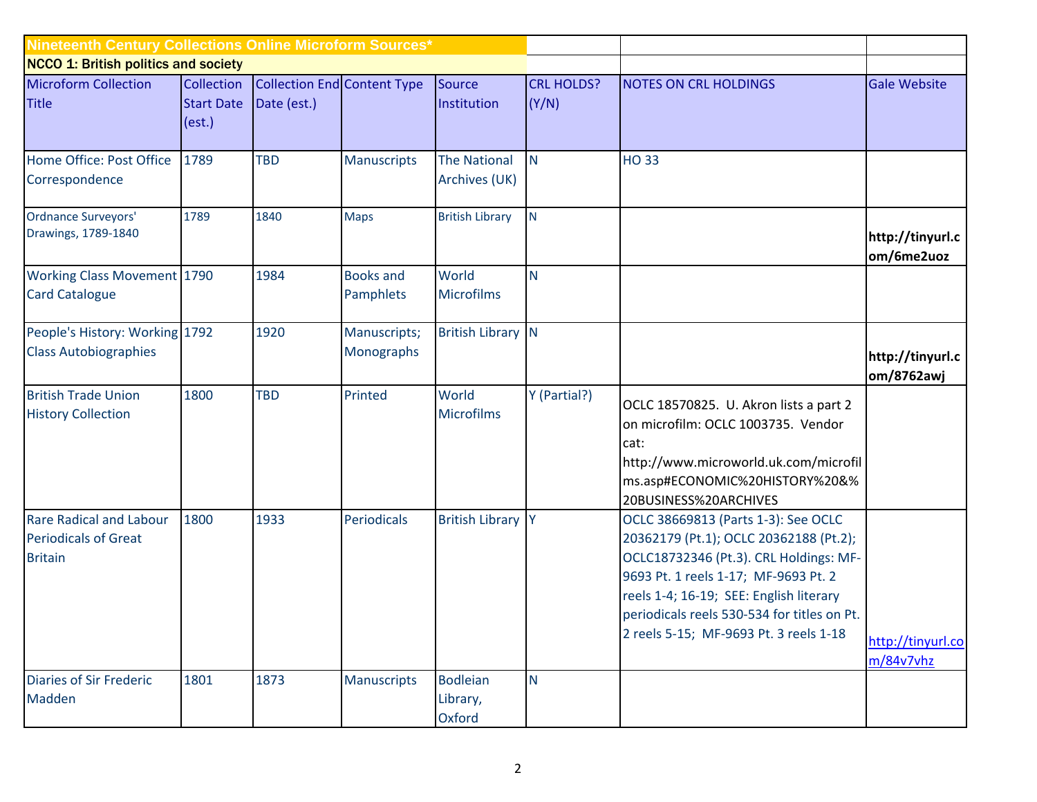| Nineteenth Century Collections Online Microform Sources* |                   |                                    |                            |                          |                   |                                             |                                |  |  |  |
|----------------------------------------------------------|-------------------|------------------------------------|----------------------------|--------------------------|-------------------|---------------------------------------------|--------------------------------|--|--|--|
| <b>NCCO 1: British politics and society</b>              |                   |                                    |                            |                          |                   |                                             |                                |  |  |  |
| <b>Microform Collection</b>                              | Collection        | <b>Collection End Content Type</b> |                            | Source                   | <b>CRL HOLDS?</b> | <b>NOTES ON CRL HOLDINGS</b>                | <b>Gale Website</b>            |  |  |  |
| <b>Title</b>                                             | <b>Start Date</b> | Date (est.)                        |                            | Institution              | (Y/N)             |                                             |                                |  |  |  |
|                                                          | (est.)            |                                    |                            |                          |                   |                                             |                                |  |  |  |
| Home Office: Post Office                                 | 1789              | <b>TBD</b>                         | <b>Manuscripts</b>         | <b>The National</b>      | $\mathsf{N}$      | <b>HO33</b>                                 |                                |  |  |  |
| Correspondence                                           |                   |                                    |                            | Archives (UK)            |                   |                                             |                                |  |  |  |
|                                                          |                   |                                    |                            |                          |                   |                                             |                                |  |  |  |
| Ordnance Surveyors'                                      | 1789              | 1840                               | <b>Maps</b>                | <b>British Library</b>   | N                 |                                             |                                |  |  |  |
| Drawings, 1789-1840                                      |                   |                                    |                            |                          |                   |                                             | http://tinyurl.c               |  |  |  |
|                                                          |                   |                                    |                            |                          |                   |                                             | om/6me2uoz                     |  |  |  |
| <b>Working Class Movement 1790</b>                       |                   | 1984                               | <b>Books and</b>           | World                    | $\overline{N}$    |                                             |                                |  |  |  |
| <b>Card Catalogue</b>                                    |                   |                                    | Pamphlets                  | <b>Microfilms</b>        |                   |                                             |                                |  |  |  |
| People's History: Working 1792                           |                   | 1920                               |                            | <b>British Library N</b> |                   |                                             |                                |  |  |  |
| <b>Class Autobiographies</b>                             |                   |                                    | Manuscripts;<br>Monographs |                          |                   |                                             |                                |  |  |  |
|                                                          |                   |                                    |                            |                          |                   |                                             | http://tinyurl.c<br>om/8762awj |  |  |  |
| <b>British Trade Union</b>                               | 1800              | <b>TBD</b>                         | Printed                    | World                    | Y (Partial?)      | OCLC 18570825. U. Akron lists a part 2      |                                |  |  |  |
| <b>History Collection</b>                                |                   |                                    |                            | <b>Microfilms</b>        |                   | on microfilm: OCLC 1003735. Vendor          |                                |  |  |  |
|                                                          |                   |                                    |                            |                          |                   | cat:                                        |                                |  |  |  |
|                                                          |                   |                                    |                            |                          |                   | http://www.microworld.uk.com/microfil       |                                |  |  |  |
|                                                          |                   |                                    |                            |                          |                   | ms.asp#ECONOMIC%20HISTORY%20&%              |                                |  |  |  |
|                                                          |                   |                                    |                            |                          |                   | 20BUSINESS%20ARCHIVES                       |                                |  |  |  |
| <b>Rare Radical and Labour</b>                           | 1800              | 1933                               | Periodicals                | <b>British Library Y</b> |                   | OCLC 38669813 (Parts 1-3): See OCLC         |                                |  |  |  |
| <b>Periodicals of Great</b>                              |                   |                                    |                            |                          |                   | 20362179 (Pt.1); OCLC 20362188 (Pt.2);      |                                |  |  |  |
| <b>Britain</b>                                           |                   |                                    |                            |                          |                   | OCLC18732346 (Pt.3). CRL Holdings: MF-      |                                |  |  |  |
|                                                          |                   |                                    |                            |                          |                   | 9693 Pt. 1 reels 1-17; MF-9693 Pt. 2        |                                |  |  |  |
|                                                          |                   |                                    |                            |                          |                   | reels 1-4; 16-19; SEE: English literary     |                                |  |  |  |
|                                                          |                   |                                    |                            |                          |                   | periodicals reels 530-534 for titles on Pt. |                                |  |  |  |
|                                                          |                   |                                    |                            |                          |                   | 2 reels 5-15; MF-9693 Pt. 3 reels 1-18      | http://tinyurl.co              |  |  |  |
|                                                          |                   |                                    |                            |                          |                   |                                             | m/84v7vhz                      |  |  |  |
| <b>Diaries of Sir Frederic</b>                           | 1801              | 1873                               | <b>Manuscripts</b>         | <b>Bodleian</b>          | $\mathsf{N}$      |                                             |                                |  |  |  |
| Madden                                                   |                   |                                    |                            | Library,                 |                   |                                             |                                |  |  |  |
|                                                          |                   |                                    |                            | Oxford                   |                   |                                             |                                |  |  |  |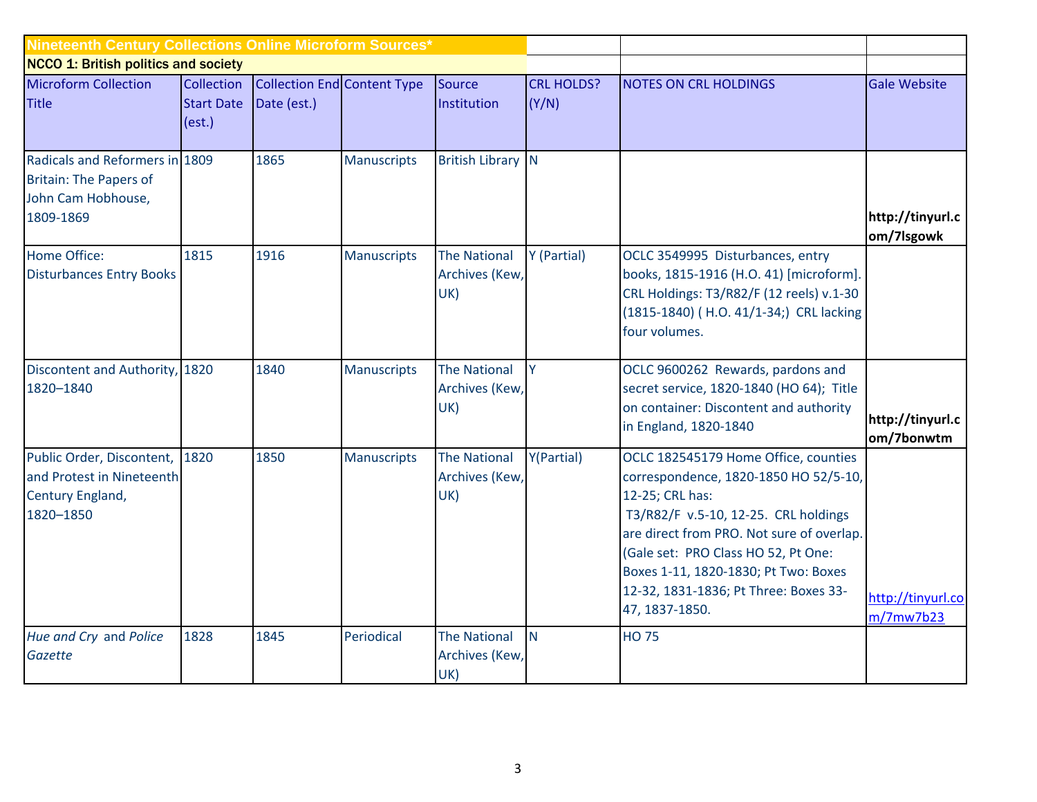| Nineteenth Century Collections Online Microform Sources*                                           |                                           |             |                                    |                                              |                            |                                                                                                                                                                                                                                                                                                                                 |                                |  |  |  |
|----------------------------------------------------------------------------------------------------|-------------------------------------------|-------------|------------------------------------|----------------------------------------------|----------------------------|---------------------------------------------------------------------------------------------------------------------------------------------------------------------------------------------------------------------------------------------------------------------------------------------------------------------------------|--------------------------------|--|--|--|
| <b>NCCO 1: British politics and society</b>                                                        |                                           |             |                                    |                                              |                            |                                                                                                                                                                                                                                                                                                                                 |                                |  |  |  |
| <b>Microform Collection</b><br><b>Title</b>                                                        | Collection<br><b>Start Date</b><br>(est.) | Date (est.) | <b>Collection End Content Type</b> | Source<br>Institution                        | <b>CRL HOLDS?</b><br>(Y/N) | <b>NOTES ON CRL HOLDINGS</b>                                                                                                                                                                                                                                                                                                    | <b>Gale Website</b>            |  |  |  |
| Radicals and Reformers in 1809<br><b>Britain: The Papers of</b><br>John Cam Hobhouse,<br>1809-1869 |                                           | 1865        | <b>Manuscripts</b>                 | <b>British Library N</b>                     |                            |                                                                                                                                                                                                                                                                                                                                 | http://tinyurl.c<br>om/7lsgowk |  |  |  |
| Home Office:<br><b>Disturbances Entry Books</b>                                                    | 1815                                      | 1916        | <b>Manuscripts</b>                 | <b>The National</b><br>Archives (Kew,<br>UK) | Y (Partial)                | OCLC 3549995 Disturbances, entry<br>books, 1815-1916 (H.O. 41) [microform].<br>CRL Holdings: T3/R82/F (12 reels) v.1-30<br>(1815-1840) (H.O. 41/1-34;) CRL lacking<br>four volumes.                                                                                                                                             |                                |  |  |  |
| Discontent and Authority, 1820<br>1820-1840                                                        |                                           | 1840        | <b>Manuscripts</b>                 | <b>The National</b><br>Archives (Kew,<br>UK) | Y                          | OCLC 9600262 Rewards, pardons and<br>secret service, 1820-1840 (HO 64); Title<br>on container: Discontent and authority<br>in England, 1820-1840                                                                                                                                                                                | http://tinyurl.c<br>om/7bonwtm |  |  |  |
| Public Order, Discontent, 1820<br>and Protest in Nineteenth<br>Century England,<br>1820-1850       |                                           | 1850        | <b>Manuscripts</b>                 | <b>The National</b><br>Archives (Kew,<br>UK) | Y(Partial)                 | OCLC 182545179 Home Office, counties<br>correspondence, 1820-1850 HO 52/5-10,<br>12-25; CRL has:<br>T3/R82/F v.5-10, 12-25. CRL holdings<br>are direct from PRO. Not sure of overlap.<br>(Gale set: PRO Class HO 52, Pt One:<br>Boxes 1-11, 1820-1830; Pt Two: Boxes<br>12-32, 1831-1836; Pt Three: Boxes 33-<br>47, 1837-1850. | http://tinyurl.co<br>m/7mw7b23 |  |  |  |
| Hue and Cry and Police<br>Gazette                                                                  | 1828                                      | 1845        | Periodical                         | <b>The National</b><br>Archives (Kew,<br>UK) | N <sub>1</sub>             | <b>HO 75</b>                                                                                                                                                                                                                                                                                                                    |                                |  |  |  |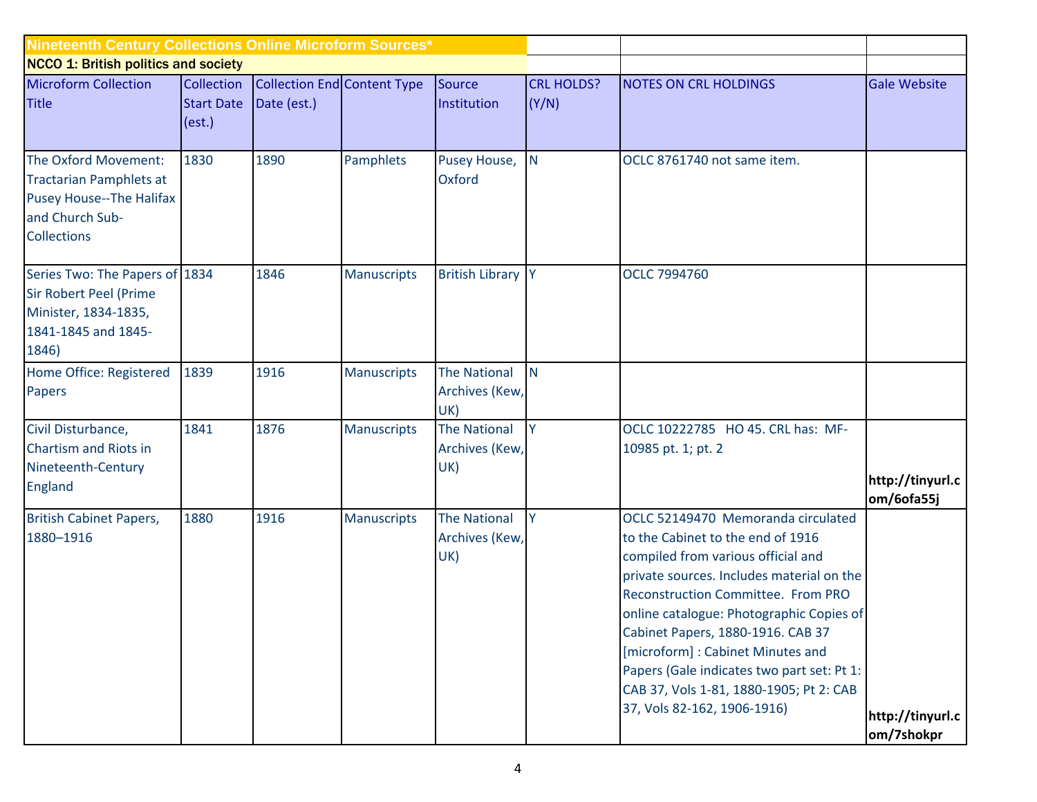| Nineteenth Century Collections Online Microform Sources*                                                                    |                                           |                                                   |                    |                                              |                            |                                                                                                                                                                                                                                                                                                                                                                                                                                               |                                |  |  |  |
|-----------------------------------------------------------------------------------------------------------------------------|-------------------------------------------|---------------------------------------------------|--------------------|----------------------------------------------|----------------------------|-----------------------------------------------------------------------------------------------------------------------------------------------------------------------------------------------------------------------------------------------------------------------------------------------------------------------------------------------------------------------------------------------------------------------------------------------|--------------------------------|--|--|--|
| <b>NCCO 1: British politics and society</b>                                                                                 |                                           |                                                   |                    |                                              |                            |                                                                                                                                                                                                                                                                                                                                                                                                                                               |                                |  |  |  |
| <b>Microform Collection</b><br><b>Title</b>                                                                                 | Collection<br><b>Start Date</b><br>(est.) | <b>Collection End Content Type</b><br>Date (est.) |                    | Source<br>Institution                        | <b>CRL HOLDS?</b><br>(Y/N) | <b>NOTES ON CRL HOLDINGS</b>                                                                                                                                                                                                                                                                                                                                                                                                                  | <b>Gale Website</b>            |  |  |  |
| The Oxford Movement:<br><b>Tractarian Pamphlets at</b><br>Pusey House--The Halifax<br>and Church Sub-<br><b>Collections</b> | 1830                                      | 1890                                              | Pamphlets          | Pusey House,<br>Oxford                       | $\mathsf{N}$               | OCLC 8761740 not same item.                                                                                                                                                                                                                                                                                                                                                                                                                   |                                |  |  |  |
| Series Two: The Papers of 1834<br><b>Sir Robert Peel (Prime</b><br>Minister, 1834-1835,<br>1841-1845 and 1845-<br>1846)     |                                           | 1846                                              | <b>Manuscripts</b> | <b>British Library Y</b>                     |                            | OCLC 7994760                                                                                                                                                                                                                                                                                                                                                                                                                                  |                                |  |  |  |
| Home Office: Registered<br>Papers                                                                                           | 1839                                      | 1916                                              | Manuscripts        | <b>The National</b><br>Archives (Kew,<br>UK) | N <sub>1</sub>             |                                                                                                                                                                                                                                                                                                                                                                                                                                               |                                |  |  |  |
| Civil Disturbance,<br>Chartism and Riots in<br>Nineteenth-Century<br>England                                                | 1841                                      | 1876                                              | Manuscripts        | <b>The National</b><br>Archives (Kew,<br>UK) | Y                          | OCLC 10222785 HO 45. CRL has: MF-<br>10985 pt. 1; pt. 2                                                                                                                                                                                                                                                                                                                                                                                       | http://tinyurl.c<br>om/6ofa55j |  |  |  |
| <b>British Cabinet Papers,</b><br>1880-1916                                                                                 | 1880                                      | 1916                                              | <b>Manuscripts</b> | <b>The National</b><br>Archives (Kew,<br>UK) | <b>V</b>                   | OCLC 52149470 Memoranda circulated<br>to the Cabinet to the end of 1916<br>compiled from various official and<br>private sources. Includes material on the<br>Reconstruction Committee. From PRO<br>online catalogue: Photographic Copies of<br>Cabinet Papers, 1880-1916. CAB 37<br>[microform]: Cabinet Minutes and<br>Papers (Gale indicates two part set: Pt 1:<br>CAB 37, Vols 1-81, 1880-1905; Pt 2: CAB<br>37, Vols 82-162, 1906-1916) | http://tinyurl.c<br>om/7shokpr |  |  |  |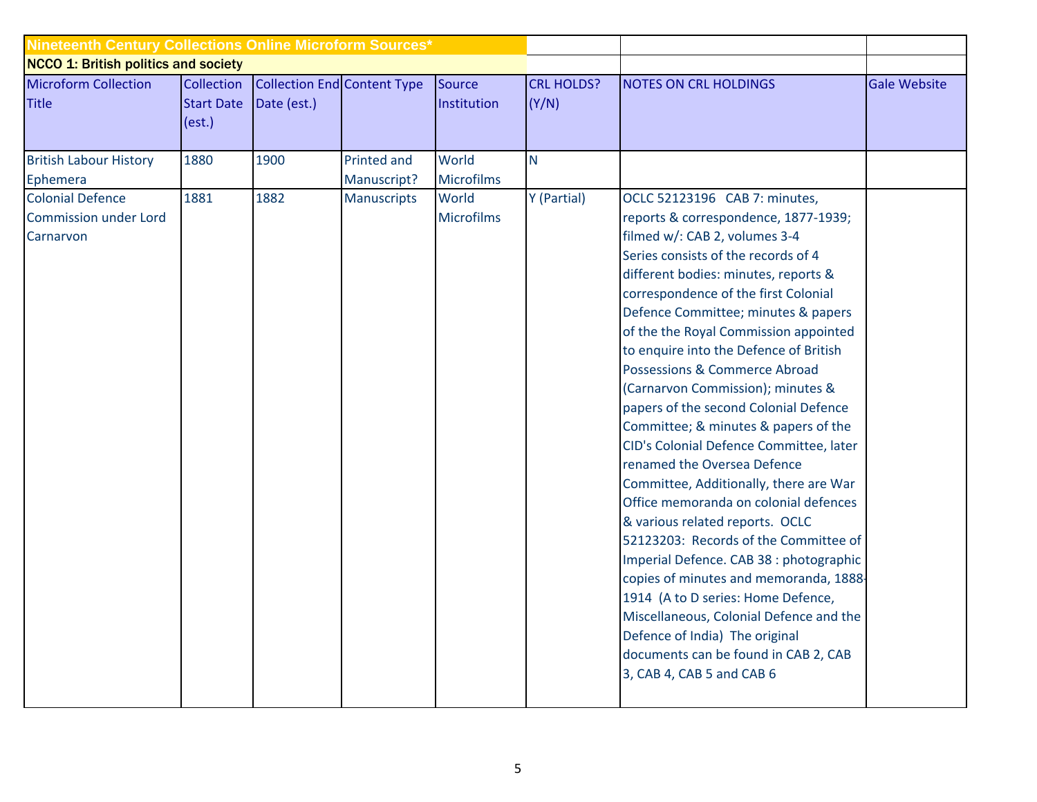| <b>Nineteenth Century Collections Online Microform Sources*</b>      |                                           |                                                   |                            |                            |                            |                                                                                                                                                                                                                                                                                                                                                                                                                                                                                                                                                                                                                                                                                                                                                                                                                                                                                                                                                                                                                                      |                     |
|----------------------------------------------------------------------|-------------------------------------------|---------------------------------------------------|----------------------------|----------------------------|----------------------------|--------------------------------------------------------------------------------------------------------------------------------------------------------------------------------------------------------------------------------------------------------------------------------------------------------------------------------------------------------------------------------------------------------------------------------------------------------------------------------------------------------------------------------------------------------------------------------------------------------------------------------------------------------------------------------------------------------------------------------------------------------------------------------------------------------------------------------------------------------------------------------------------------------------------------------------------------------------------------------------------------------------------------------------|---------------------|
| <b>NCCO 1: British politics and society</b>                          |                                           |                                                   |                            |                            |                            |                                                                                                                                                                                                                                                                                                                                                                                                                                                                                                                                                                                                                                                                                                                                                                                                                                                                                                                                                                                                                                      |                     |
| <b>Microform Collection</b><br><b>Title</b>                          | Collection<br><b>Start Date</b><br>(est.) | <b>Collection End Content Type</b><br>Date (est.) |                            | Source<br>Institution      | <b>CRL HOLDS?</b><br>(Y/N) | <b>NOTES ON CRL HOLDINGS</b>                                                                                                                                                                                                                                                                                                                                                                                                                                                                                                                                                                                                                                                                                                                                                                                                                                                                                                                                                                                                         | <b>Gale Website</b> |
| <b>British Labour History</b><br>Ephemera                            | 1880                                      | 1900                                              | Printed and<br>Manuscript? | World<br><b>Microfilms</b> | N                          |                                                                                                                                                                                                                                                                                                                                                                                                                                                                                                                                                                                                                                                                                                                                                                                                                                                                                                                                                                                                                                      |                     |
| <b>Colonial Defence</b><br><b>Commission under Lord</b><br>Carnarvon | 1881                                      | 1882                                              | <b>Manuscripts</b>         | World<br><b>Microfilms</b> | Y (Partial)                | OCLC 52123196 CAB 7: minutes,<br>reports & correspondence, 1877-1939;<br>filmed w/: CAB 2, volumes 3-4<br>Series consists of the records of 4<br>different bodies: minutes, reports &<br>correspondence of the first Colonial<br>Defence Committee; minutes & papers<br>of the the Royal Commission appointed<br>to enquire into the Defence of British<br>Possessions & Commerce Abroad<br>(Carnarvon Commission); minutes &<br>papers of the second Colonial Defence<br>Committee; & minutes & papers of the<br>CID's Colonial Defence Committee, later<br>renamed the Oversea Defence<br>Committee, Additionally, there are War<br>Office memoranda on colonial defences<br>& various related reports. OCLC<br>52123203: Records of the Committee of<br>Imperial Defence. CAB 38 : photographic<br>copies of minutes and memoranda, 1888-<br>1914 (A to D series: Home Defence,<br>Miscellaneous, Colonial Defence and the<br>Defence of India) The original<br>documents can be found in CAB 2, CAB<br>3, CAB 4, CAB 5 and CAB 6 |                     |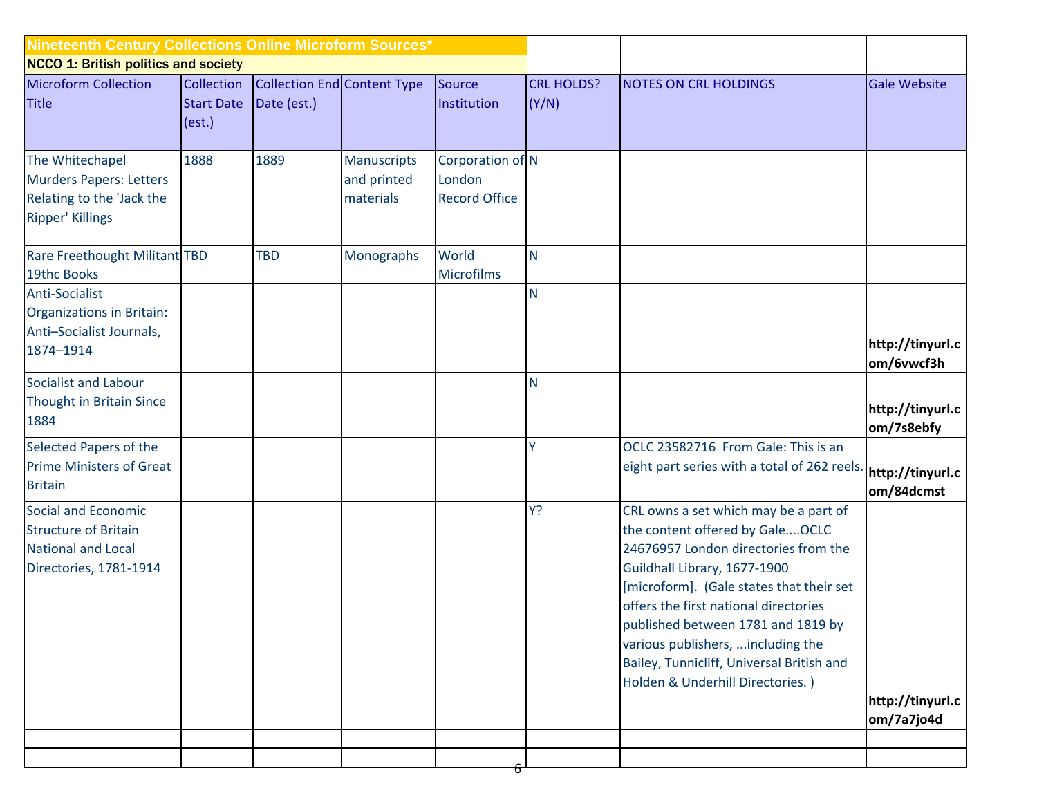| Nineteenth Century Collections Online Microform Sources*                                                  |                             |                                        |                                                |                                                    |                   |                                                                                                                                                                                                                                                                                                                                                                                                    |                                |  |  |  |
|-----------------------------------------------------------------------------------------------------------|-----------------------------|----------------------------------------|------------------------------------------------|----------------------------------------------------|-------------------|----------------------------------------------------------------------------------------------------------------------------------------------------------------------------------------------------------------------------------------------------------------------------------------------------------------------------------------------------------------------------------------------------|--------------------------------|--|--|--|
| <b>NCCO 1: British politics and society</b><br><b>Microform Collection</b>                                |                             | Collection Collection End Content Type |                                                | Source                                             | <b>CRL HOLDS?</b> | <b>NOTES ON CRL HOLDINGS</b>                                                                                                                                                                                                                                                                                                                                                                       | <b>Gale Website</b>            |  |  |  |
| <b>Title</b>                                                                                              | <b>Start Date</b><br>(est.) | Date (est.)                            |                                                | Institution                                        | (Y/N)             |                                                                                                                                                                                                                                                                                                                                                                                                    |                                |  |  |  |
| The Whitechapel<br><b>Murders Papers: Letters</b><br>Relating to the 'Jack the<br><b>Ripper' Killings</b> | 1888                        | 1889                                   | <b>Manuscripts</b><br>and printed<br>materials | Corporation of N<br>London<br><b>Record Office</b> |                   |                                                                                                                                                                                                                                                                                                                                                                                                    |                                |  |  |  |
| Rare Freethought Militant TBD<br>19thc Books                                                              |                             | <b>TBD</b>                             | Monographs                                     | World<br><b>Microfilms</b>                         | N                 |                                                                                                                                                                                                                                                                                                                                                                                                    |                                |  |  |  |
| Anti-Socialist<br>Organizations in Britain:<br>Anti-Socialist Journals,                                   |                             |                                        |                                                |                                                    | $\mathsf{N}$      |                                                                                                                                                                                                                                                                                                                                                                                                    |                                |  |  |  |
| 1874-1914                                                                                                 |                             |                                        |                                                |                                                    |                   |                                                                                                                                                                                                                                                                                                                                                                                                    | http://tinyurl.c<br>om/6vwcf3h |  |  |  |
| Socialist and Labour<br>Thought in Britain Since<br>1884                                                  |                             |                                        |                                                |                                                    | <b>N</b>          |                                                                                                                                                                                                                                                                                                                                                                                                    | http://tinyurl.c<br>om/7s8ebfy |  |  |  |
| Selected Papers of the<br><b>Prime Ministers of Great</b><br><b>Britain</b>                               |                             |                                        |                                                |                                                    | Y                 | OCLC 23582716 From Gale: This is an<br>eight part series with a total of 262 reels                                                                                                                                                                                                                                                                                                                 | http://tinyurl.c<br>om/84dcmst |  |  |  |
| Social and Economic<br><b>Structure of Britain</b><br><b>National and Local</b><br>Directories, 1781-1914 |                             |                                        |                                                |                                                    | Y?                | CRL owns a set which may be a part of<br>the content offered by GaleOCLC<br>24676957 London directories from the<br>Guildhall Library, 1677-1900<br>[microform]. (Gale states that their set<br>offers the first national directories<br>published between 1781 and 1819 by<br>various publishers,  including the<br>Bailey, Tunnicliff, Universal British and<br>Holden & Underhill Directories.) | http://tinyurl.c<br>om/7a7jo4d |  |  |  |
|                                                                                                           |                             |                                        |                                                |                                                    |                   |                                                                                                                                                                                                                                                                                                                                                                                                    |                                |  |  |  |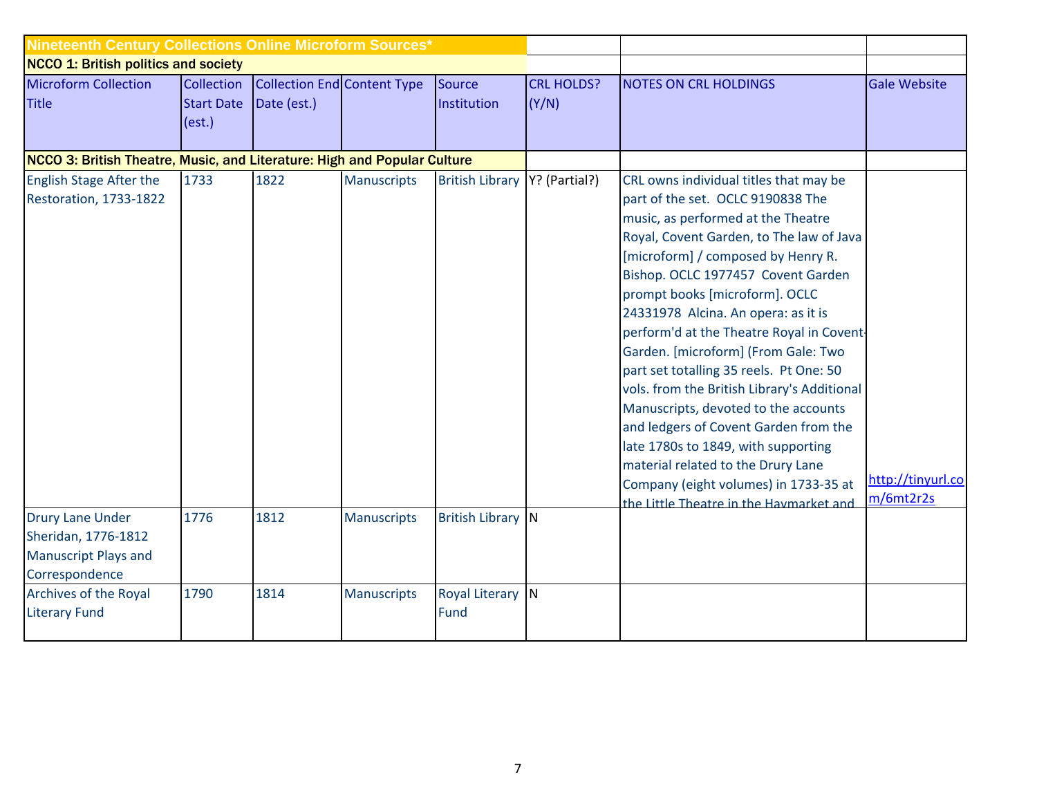| Nineteenth Century Collections Online Microform Sources*                                        |                                           |                                                   |                    |                          |                            |                                                                                                                                                                                                                                                                                                                                                                                                                                                                                                                                                                                                                                                                                                                                                    |                                |
|-------------------------------------------------------------------------------------------------|-------------------------------------------|---------------------------------------------------|--------------------|--------------------------|----------------------------|----------------------------------------------------------------------------------------------------------------------------------------------------------------------------------------------------------------------------------------------------------------------------------------------------------------------------------------------------------------------------------------------------------------------------------------------------------------------------------------------------------------------------------------------------------------------------------------------------------------------------------------------------------------------------------------------------------------------------------------------------|--------------------------------|
| <b>NCCO 1: British politics and society</b>                                                     |                                           |                                                   |                    |                          |                            |                                                                                                                                                                                                                                                                                                                                                                                                                                                                                                                                                                                                                                                                                                                                                    |                                |
| <b>Microform Collection</b><br><b>Title</b>                                                     | Collection<br><b>Start Date</b><br>(est.) | <b>Collection End Content Type</b><br>Date (est.) |                    | Source<br>Institution    | <b>CRL HOLDS?</b><br>(Y/N) | <b>NOTES ON CRL HOLDINGS</b>                                                                                                                                                                                                                                                                                                                                                                                                                                                                                                                                                                                                                                                                                                                       | <b>Gale Website</b>            |
| NCCO 3: British Theatre, Music, and Literature: High and Popular Culture                        |                                           |                                                   |                    |                          |                            |                                                                                                                                                                                                                                                                                                                                                                                                                                                                                                                                                                                                                                                                                                                                                    |                                |
| <b>English Stage After the</b><br>Restoration, 1733-1822                                        | 1733                                      | 1822                                              | <b>Manuscripts</b> | <b>British Library</b>   | Y? (Partial?)              | CRL owns individual titles that may be<br>part of the set. OCLC 9190838 The<br>music, as performed at the Theatre<br>Royal, Covent Garden, to The law of Java<br>[microform] / composed by Henry R.<br>Bishop. OCLC 1977457 Covent Garden<br>prompt books [microform]. OCLC<br>24331978 Alcina. An opera: as it is<br>perform'd at the Theatre Royal in Covent-<br>Garden. [microform] (From Gale: Two<br>part set totalling 35 reels. Pt One: 50<br>vols. from the British Library's Additional<br>Manuscripts, devoted to the accounts<br>and ledgers of Covent Garden from the<br>late 1780s to 1849, with supporting<br>material related to the Drury Lane<br>Company (eight volumes) in 1733-35 at<br>the Little Theatre in the Havmarket and | http://tinyurl.co<br>m/6mt2r2s |
| <b>Drury Lane Under</b><br>Sheridan, 1776-1812<br><b>Manuscript Plays and</b><br>Correspondence | 1776                                      | 1812                                              | <b>Manuscripts</b> | <b>British Library N</b> |                            |                                                                                                                                                                                                                                                                                                                                                                                                                                                                                                                                                                                                                                                                                                                                                    |                                |
| Archives of the Royal<br><b>Literary Fund</b>                                                   | 1790                                      | 1814                                              | <b>Manuscripts</b> | Royal Literary N<br>Fund |                            |                                                                                                                                                                                                                                                                                                                                                                                                                                                                                                                                                                                                                                                                                                                                                    |                                |